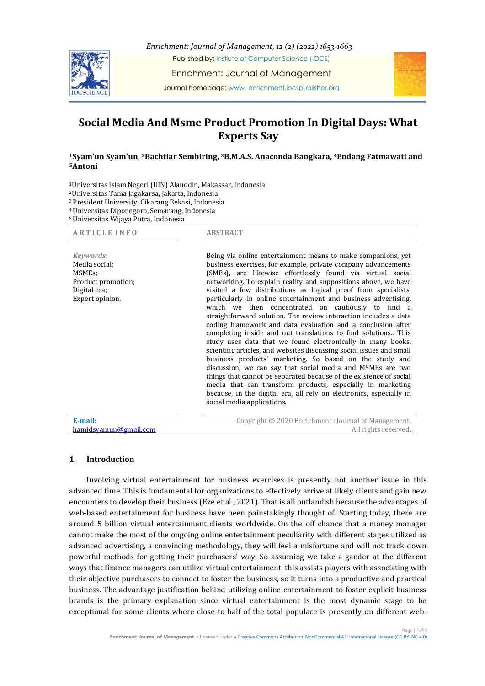

*Enrichment: Journal of Management, 12 (2) (2022) 1653-1663* Published by: Instiute of Computer Science (IOCS)

Enrichment: Journal of Management

Journal homepage: www. enrichment.iocspublisher.org

# **Social Media And Msme Product Promotion In Digital Days: What Experts Say**

## **<sup>1</sup>Syam'un Syam'un, <sup>2</sup>Bachtiar Sembiring, <sup>3</sup>B.M.A.S. Anaconda Bangkara, <sup>4</sup>Endang Fatmawati and <sup>5</sup>Antoni**

<sup>1</sup>Universitas Islam Negeri (UIN) Alauddin, Makassar, Indonesia

<sup>2</sup>Universitas Tama Jagakarsa, Jakarta, Indonesia

<sup>3</sup> President University, Cikarang Bekasi, Indonesia

<sup>4</sup>Universitas Diponegoro, Semarang, Indonesia <sup>5</sup>Universitas Wijaya Putra, Indonesia

| <b>ARTICLE INFO</b>                                                                                        | <b>ABSTRACT</b>                                                                                                                                                                                                                                                                                                                                                                                                                                                                                                                                                                                                                                                                                                                                                                                                                                                                                                                                                                                                                                                                                                                                                       |
|------------------------------------------------------------------------------------------------------------|-----------------------------------------------------------------------------------------------------------------------------------------------------------------------------------------------------------------------------------------------------------------------------------------------------------------------------------------------------------------------------------------------------------------------------------------------------------------------------------------------------------------------------------------------------------------------------------------------------------------------------------------------------------------------------------------------------------------------------------------------------------------------------------------------------------------------------------------------------------------------------------------------------------------------------------------------------------------------------------------------------------------------------------------------------------------------------------------------------------------------------------------------------------------------|
| Keywords:<br>Media social:<br>MSME <sub>s</sub> ;<br>Product promotion;<br>Digital era;<br>Expert opinion. | Being via online entertainment means to make companions, yet<br>business exercises, for example, private company advancements<br>(SMEs), are likewise effortlessly found via virtual social<br>networking. To explain reality and suppositions above, we have<br>visited a few distributions as logical proof from specialists,<br>particularly in online entertainment and business advertising,<br>which we then concentrated on cautiously to find a<br>straightforward solution. The review interaction includes a data<br>coding framework and data evaluation and a conclusion after<br>completing inside and out translations to find solutions. This<br>study uses data that we found electronically in many books,<br>scientific articles, and websites discussing social issues and small<br>business products' marketing. So based on the study and<br>discussion, we can say that social media and MSMEs are two<br>things that cannot be separated because of the existence of social<br>media that can transform products, especially in marketing<br>because, in the digital era, all rely on electronics, especially in<br>social media applications. |
| E-mail:<br>hamidsyamun@gmail.com                                                                           | Copyright © 2020 Enrichment : Journal of Management.<br>All rights reserved.                                                                                                                                                                                                                                                                                                                                                                                                                                                                                                                                                                                                                                                                                                                                                                                                                                                                                                                                                                                                                                                                                          |

## **1. Introduction**

Involving virtual entertainment for business exercises is presently not another issue in this advanced time. This is fundamental for organizations to effectively arrive at likely clients and gain new encounters to develop their business (Eze et al., 2021). That is all outlandish because the advantages of web-based entertainment for business have been painstakingly thought of. Starting today, there are around 5 billion virtual entertainment clients worldwide. On the off chance that a money manager cannot make the most of the ongoing online entertainment peculiarity with different stages utilized as advanced advertising, a convincing methodology, they will feel a misfortune and will not track down powerful methods for getting their purchasers' way. So assuming we take a gander at the different ways that finance managers can utilize virtual entertainment, this assists players with associating with their objective purchasers to connect to foster the business, so it turns into a productive and practical business. The advantage justification behind utilizing online entertainment to foster explicit business brands is the primary explanation since virtual entertainment is the most dynamic stage to be exceptional for some clients where close to half of the total populace is presently on different web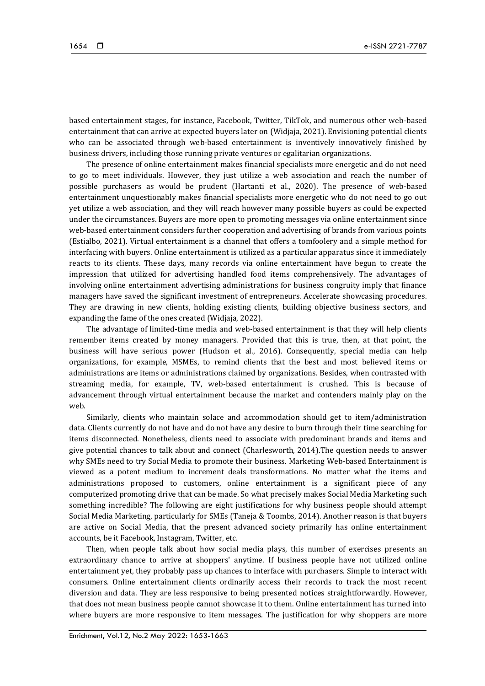based entertainment stages, for instance, Facebook, Twitter, TikTok, and numerous other web-based entertainment that can arrive at expected buyers later on (Widjaja, 2021). Envisioning potential clients who can be associated through web-based entertainment is inventively innovatively finished by business drivers, including those running private ventures or egalitarian organizations.

The presence of online entertainment makes financial specialists more energetic and do not need to go to meet individuals. However, they just utilize a web association and reach the number of possible purchasers as would be prudent (Hartanti et al., 2020). The presence of web-based entertainment unquestionably makes financial specialists more energetic who do not need to go out yet utilize a web association, and they will reach however many possible buyers as could be expected under the circumstances. Buyers are more open to promoting messages via online entertainment since web-based entertainment considers further cooperation and advertising of brands from various points (Estialbo, 2021). Virtual entertainment is a channel that offers a tomfoolery and a simple method for interfacing with buyers. Online entertainment is utilized as a particular apparatus since it immediately reacts to its clients. These days, many records via online entertainment have begun to create the impression that utilized for advertising handled food items comprehensively. The advantages of involving online entertainment advertising administrations for business congruity imply that finance managers have saved the significant investment of entrepreneurs. Accelerate showcasing procedures. They are drawing in new clients, holding existing clients, building objective business sectors, and expanding the fame of the ones created (Widjaja, 2022).

The advantage of limited-time media and web-based entertainment is that they will help clients remember items created by money managers. Provided that this is true, then, at that point, the business will have serious power (Hudson et al., 2016). Consequently, special media can help organizations, for example, MSMEs, to remind clients that the best and most believed items or administrations are items or administrations claimed by organizations. Besides, when contrasted with streaming media, for example, TV, web-based entertainment is crushed. This is because of advancement through virtual entertainment because the market and contenders mainly play on the web.

Similarly, clients who maintain solace and accommodation should get to item/administration data. Clients currently do not have and do not have any desire to burn through their time searching for items disconnected. Nonetheless, clients need to associate with predominant brands and items and give potential chances to talk about and connect (Charlesworth, 2014).The question needs to answer why SMEs need to try Social Media to promote their business. Marketing Web-based Entertainment is viewed as a potent medium to increment deals transformations. No matter what the items and administrations proposed to customers, online entertainment is a significant piece of any computerized promoting drive that can be made. So what precisely makes Social Media Marketing such something incredible? The following are eight justifications for why business people should attempt Social Media Marketing, particularly for SMEs (Taneja & Toombs, 2014). Another reason is that buyers are active on Social Media, that the present advanced society primarily has online entertainment accounts, be it Facebook, Instagram, Twitter, etc.

Then, when people talk about how social media plays, this number of exercises presents an extraordinary chance to arrive at shoppers' anytime. If business people have not utilized online entertainment yet, they probably pass up chances to interface with purchasers. Simple to interact with consumers. Online entertainment clients ordinarily access their records to track the most recent diversion and data. They are less responsive to being presented notices straightforwardly. However, that does not mean business people cannot showcase it to them. Online entertainment has turned into where buyers are more responsive to item messages. The justification for why shoppers are more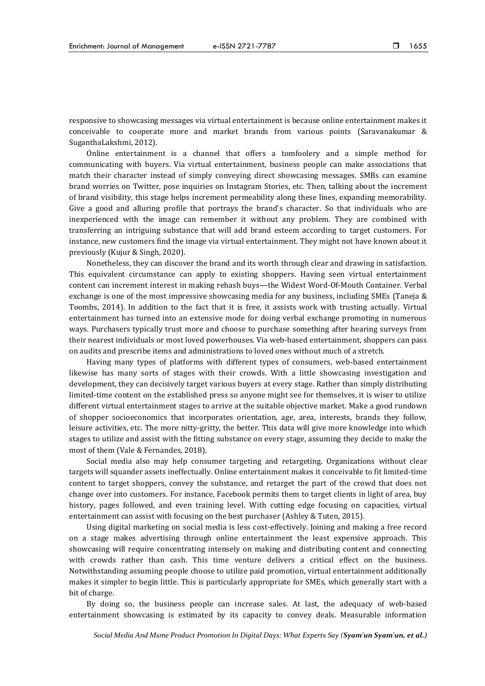responsive to showcasing messages via virtual entertainment is because online entertainment makes it conceivable to cooperate more and market brands from various points (Saravanakumar & SuganthaLakshmi, 2012).

Online entertainment is a channel that offers a tomfoolery and a simple method for communicating with buyers. Via virtual entertainment, business people can make associations that match their character instead of simply conveying direct showcasing messages. SMBs can examine brand worries on Twitter, pose inquiries on Instagram Stories, etc. Then, talking about the increment of brand visibility, this stage helps increment permeability along these lines, expanding memorability. Give a good and alluring profile that portrays the brand's character. So that individuals who are inexperienced with the image can remember it without any problem. They are combined with transferring an intriguing substance that will add brand esteem according to target customers. For instance, new customers find the image via virtual entertainment. They might not have known about it previously (Kujur & Singh, 2020).

Nonetheless, they can discover the brand and its worth through clear and drawing in satisfaction. This equivalent circumstance can apply to existing shoppers. Having seen virtual entertainment content can increment interest in making rehash buys—the Widest Word-Of-Mouth Container. Verbal exchange is one of the most impressive showcasing media for any business, including SMEs (Taneja & Toombs, 2014). In addition to the fact that it is free, it assists work with trusting actually. Virtual entertainment has turned into an extensive mode for doing verbal exchange promoting in numerous ways. Purchasers typically trust more and choose to purchase something after hearing surveys from their nearest individuals or most loved powerhouses. Via web-based entertainment, shoppers can pass on audits and prescribe items and administrations to loved ones without much of a stretch.

Having many types of platforms with different types of consumers, web-based entertainment likewise has many sorts of stages with their crowds. With a little showcasing investigation and development, they can decisively target various buyers at every stage. Rather than simply distributing limited-time content on the established press so anyone might see for themselves, it is wiser to utilize different virtual entertainment stages to arrive at the suitable objective market. Make a good rundown of shopper socioeconomics that incorporates orientation, age, area, interests, brands they follow, leisure activities, etc. The more nitty-gritty, the better. This data will give more knowledge into which stages to utilize and assist with the fitting substance on every stage, assuming they decide to make the most of them (Vale & Fernandes, 2018).

Social media also may help consumer targeting and retargeting. Organizations without clear targets will squander assets ineffectually. Online entertainment makes it conceivable to fit limited-time content to target shoppers, convey the substance, and retarget the part of the crowd that does not change over into customers. For instance, Facebook permits them to target clients in light of area, buy history, pages followed, and even training level. With cutting edge focusing on capacities, virtual entertainment can assist with focusing on the best purchaser (Ashley & Tuten, 2015).

Using digital marketing on social media is less cost-effectively. Joining and making a free record on a stage makes advertising through online entertainment the least expensive approach. This showcasing will require concentrating intensely on making and distributing content and connecting with crowds rather than cash. This time venture delivers a critical effect on the business. Notwithstanding assuming people choose to utilize paid promotion, virtual entertainment additionally makes it simpler to begin little. This is particularly appropriate for SMEs, which generally start with a bit of charge.

By doing so, the business people can increase sales. At last, the adequacy of web-based entertainment showcasing is estimated by its capacity to convey deals. Measurable information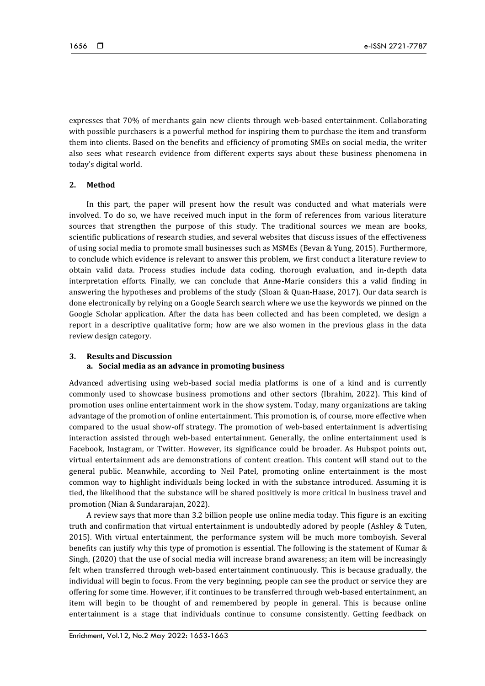expresses that 70% of merchants gain new clients through web-based entertainment. Collaborating with possible purchasers is a powerful method for inspiring them to purchase the item and transform them into clients. Based on the benefits and efficiency of promoting SMEs on social media, the writer also sees what research evidence from different experts says about these business phenomena in today's digital world.

#### **2. Method**

In this part, the paper will present how the result was conducted and what materials were involved. To do so, we have received much input in the form of references from various literature sources that strengthen the purpose of this study. The traditional sources we mean are books, scientific publications of research studies, and several websites that discuss issues of the effectiveness of using social media to promote small businesses such as MSMEs (Bevan & Yung, 2015). Furthermore, to conclude which evidence is relevant to answer this problem, we first conduct a literature review to obtain valid data. Process studies include data coding, thorough evaluation, and in-depth data interpretation efforts. Finally, we can conclude that Anne-Marie considers this a valid finding in answering the hypotheses and problems of the study (Sloan & Quan-Haase, 2017). Our data search is done electronically by relying on a Google Search search where we use the keywords we pinned on the Google Scholar application. After the data has been collected and has been completed, we design a report in a descriptive qualitative form; how are we also women in the previous glass in the data review design category.

## **3. Results and Discussion a. Social media as an advance in promoting business**

Advanced advertising using web-based social media platforms is one of a kind and is currently commonly used to showcase business promotions and other sectors (Ibrahim, 2022). This kind of promotion uses online entertainment work in the show system. Today, many organizations are taking advantage of the promotion of online entertainment. This promotion is, of course, more effective when compared to the usual show-off strategy. The promotion of web-based entertainment is advertising interaction assisted through web-based entertainment. Generally, the online entertainment used is Facebook, Instagram, or Twitter. However, its significance could be broader. As Hubspot points out, virtual entertainment ads are demonstrations of content creation. This content will stand out to the general public. Meanwhile, according to Neil Patel, promoting online entertainment is the most common way to highlight individuals being locked in with the substance introduced. Assuming it is tied, the likelihood that the substance will be shared positively is more critical in business travel and promotion (Nian & Sundararajan, 2022).

A review says that more than 3.2 billion people use online media today. This figure is an exciting truth and confirmation that virtual entertainment is undoubtedly adored by people (Ashley & Tuten, 2015). With virtual entertainment, the performance system will be much more tomboyish. Several benefits can justify why this type of promotion is essential. The following is the statement of Kumar & Singh, (2020) that the use of social media will increase brand awareness; an item will be increasingly felt when transferred through web-based entertainment continuously. This is because gradually, the individual will begin to focus. From the very beginning, people can see the product or service they are offering for some time. However, if it continues to be transferred through web-based entertainment, an item will begin to be thought of and remembered by people in general. This is because online entertainment is a stage that individuals continue to consume consistently. Getting feedback on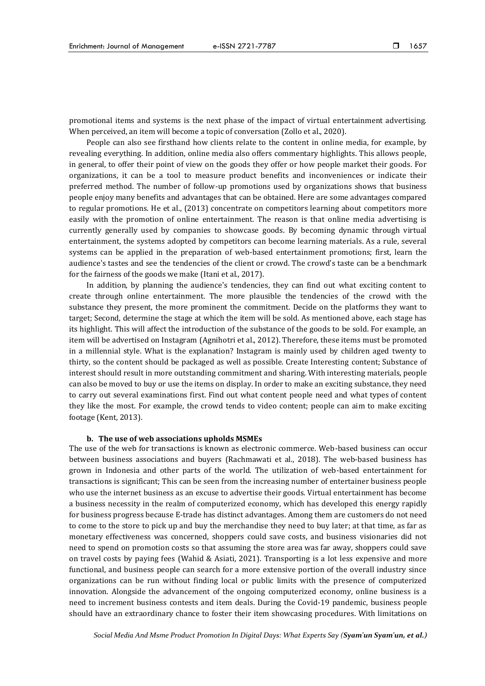promotional items and systems is the next phase of the impact of virtual entertainment advertising. When perceived, an item will become a topic of conversation (Zollo et al., 2020).

People can also see firsthand how clients relate to the content in online media, for example, by revealing everything. In addition, online media also offers commentary highlights. This allows people, in general, to offer their point of view on the goods they offer or how people market their goods. For organizations, it can be a tool to measure product benefits and inconveniences or indicate their preferred method. The number of follow-up promotions used by organizations shows that business people enjoy many benefits and advantages that can be obtained. Here are some advantages compared to regular promotions. He et al., (2013) concentrate on competitors learning about competitors more easily with the promotion of online entertainment. The reason is that online media advertising is currently generally used by companies to showcase goods. By becoming dynamic through virtual entertainment, the systems adopted by competitors can become learning materials. As a rule, several systems can be applied in the preparation of web-based entertainment promotions; first, learn the audience's tastes and see the tendencies of the client or crowd. The crowd's taste can be a benchmark for the fairness of the goods we make (Itani et al., 2017).

In addition, by planning the audience's tendencies, they can find out what exciting content to create through online entertainment. The more plausible the tendencies of the crowd with the substance they present, the more prominent the commitment. Decide on the platforms they want to target; Second, determine the stage at which the item will be sold. As mentioned above, each stage has its highlight. This will affect the introduction of the substance of the goods to be sold. For example, an item will be advertised on Instagram (Agnihotri et al., 2012). Therefore, these items must be promoted in a millennial style. What is the explanation? Instagram is mainly used by children aged twenty to thirty, so the content should be packaged as well as possible. Create Interesting content; Substance of interest should result in more outstanding commitment and sharing. With interesting materials, people can also be moved to buy or use the items on display. In order to make an exciting substance, they need to carry out several examinations first. Find out what content people need and what types of content they like the most. For example, the crowd tends to video content; people can aim to make exciting footage (Kent, 2013).

#### **b. The use of web associations upholds MSMEs**

The use of the web for transactions is known as electronic commerce. Web-based business can occur between business associations and buyers (Rachmawati et al., 2018). The web-based business has grown in Indonesia and other parts of the world. The utilization of web-based entertainment for transactions is significant; This can be seen from the increasing number of entertainer business people who use the internet business as an excuse to advertise their goods. Virtual entertainment has become a business necessity in the realm of computerized economy, which has developed this energy rapidly for business progress because E-trade has distinct advantages. Among them are customers do not need to come to the store to pick up and buy the merchandise they need to buy later; at that time, as far as monetary effectiveness was concerned, shoppers could save costs, and business visionaries did not need to spend on promotion costs so that assuming the store area was far away, shoppers could save on travel costs by paying fees (Wahid & Asiati, 2021). Transporting is a lot less expensive and more functional, and business people can search for a more extensive portion of the overall industry since organizations can be run without finding local or public limits with the presence of computerized innovation. Alongside the advancement of the ongoing computerized economy, online business is a need to increment business contests and item deals. During the Covid-19 pandemic, business people should have an extraordinary chance to foster their item showcasing procedures. With limitations on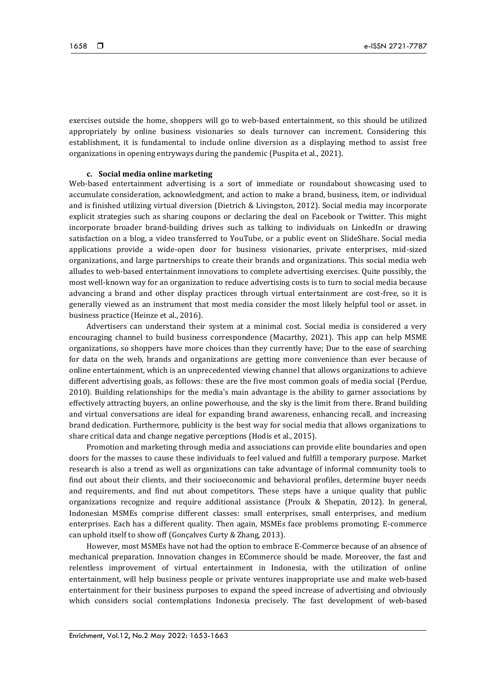exercises outside the home, shoppers will go to web-based entertainment, so this should be utilized appropriately by online business visionaries so deals turnover can increment. Considering this establishment, it is fundamental to include online diversion as a displaying method to assist free organizations in opening entryways during the pandemic (Puspita et al., 2021).

## **c. Social media online marketing**

Web-based entertainment advertising is a sort of immediate or roundabout showcasing used to accumulate consideration, acknowledgment, and action to make a brand, business, item, or individual and is finished utilizing virtual diversion (Dietrich & Livingston, 2012). Social media may incorporate explicit strategies such as sharing coupons or declaring the deal on Facebook or Twitter. This might incorporate broader brand-building drives such as talking to individuals on LinkedIn or drawing satisfaction on a blog, a video transferred to YouTube, or a public event on SlideShare. Social media applications provide a wide-open door for business visionaries, private enterprises, mid-sized organizations, and large partnerships to create their brands and organizations. This social media web alludes to web-based entertainment innovations to complete advertising exercises. Quite possibly, the most well-known way for an organization to reduce advertising costs is to turn to social media because advancing a brand and other display practices through virtual entertainment are cost-free, so it is generally viewed as an instrument that most media consider the most likely helpful tool or asset. in business practice (Heinze et al., 2016).

Advertisers can understand their system at a minimal cost. Social media is considered a very encouraging channel to build business correspondence (Macarthy, 2021). This app can help MSME organizations, so shoppers have more choices than they currently have; Due to the ease of searching for data on the web, brands and organizations are getting more convenience than ever because of online entertainment, which is an unprecedented viewing channel that allows organizations to achieve different advertising goals, as follows: these are the five most common goals of media social (Perdue, 2010). Building relationships for the media's main advantage is the ability to garner associations by effectively attracting buyers, an online powerhouse, and the sky is the limit from there. Brand building and virtual conversations are ideal for expanding brand awareness, enhancing recall, and increasing brand dedication. Furthermore, publicity is the best way for social media that allows organizations to share critical data and change negative perceptions (Hodis et al., 2015).

Promotion and marketing through media and associations can provide elite boundaries and open doors for the masses to cause these individuals to feel valued and fulfill a temporary purpose. Market research is also a trend as well as organizations can take advantage of informal community tools to find out about their clients, and their socioeconomic and behavioral profiles, determine buyer needs and requirements, and find out about competitors. These steps have a unique quality that public organizations recognize and require additional assistance (Proulx & Shepatin, 2012). In general, Indonesian MSMEs comprise different classes: small enterprises, small enterprises, and medium enterprises. Each has a different quality. Then again, MSMEs face problems promoting; E-commerce can uphold itself to show off (Gonçalves Curty & Zhang, 2013).

However, most MSMEs have not had the option to embrace E-Commerce because of an absence of mechanical preparation. Innovation changes in ECommerce should be made. Moreover, the fast and relentless improvement of virtual entertainment in Indonesia, with the utilization of online entertainment, will help business people or private ventures inappropriate use and make web-based entertainment for their business purposes to expand the speed increase of advertising and obviously which considers social contemplations Indonesia precisely. The fast development of web-based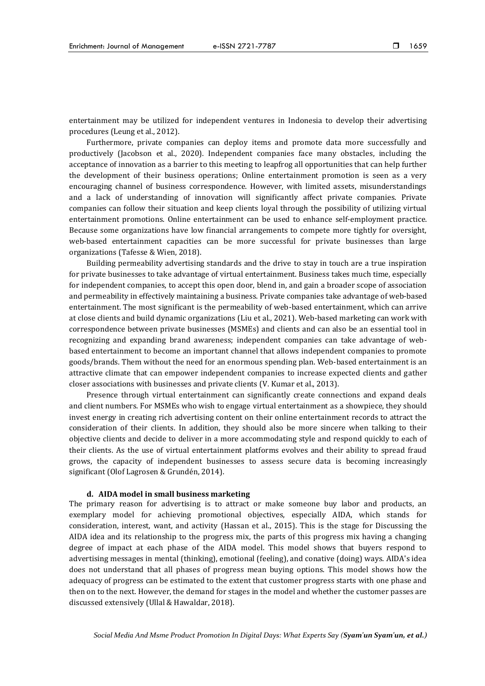entertainment may be utilized for independent ventures in Indonesia to develop their advertising procedures (Leung et al., 2012).

Furthermore, private companies can deploy items and promote data more successfully and productively (Jacobson et al., 2020). Independent companies face many obstacles, including the acceptance of innovation as a barrier to this meeting to leapfrog all opportunities that can help further the development of their business operations; Online entertainment promotion is seen as a very encouraging channel of business correspondence. However, with limited assets, misunderstandings and a lack of understanding of innovation will significantly affect private companies. Private companies can follow their situation and keep clients loyal through the possibility of utilizing virtual entertainment promotions. Online entertainment can be used to enhance self-employment practice. Because some organizations have low financial arrangements to compete more tightly for oversight, web-based entertainment capacities can be more successful for private businesses than large organizations (Tafesse & Wien, 2018).

Building permeability advertising standards and the drive to stay in touch are a true inspiration for private businesses to take advantage of virtual entertainment. Business takes much time, especially for independent companies, to accept this open door, blend in, and gain a broader scope of association and permeability in effectively maintaining a business. Private companies take advantage of web-based entertainment. The most significant is the permeability of web-based entertainment, which can arrive at close clients and build dynamic organizations (Liu et al., 2021). Web-based marketing can work with correspondence between private businesses (MSMEs) and clients and can also be an essential tool in recognizing and expanding brand awareness; independent companies can take advantage of webbased entertainment to become an important channel that allows independent companies to promote goods/brands. Them without the need for an enormous spending plan. Web-based entertainment is an attractive climate that can empower independent companies to increase expected clients and gather closer associations with businesses and private clients (V. Kumar et al., 2013).

Presence through virtual entertainment can significantly create connections and expand deals and client numbers. For MSMEs who wish to engage virtual entertainment as a showpiece, they should invest energy in creating rich advertising content on their online entertainment records to attract the consideration of their clients. In addition, they should also be more sincere when talking to their objective clients and decide to deliver in a more accommodating style and respond quickly to each of their clients. As the use of virtual entertainment platforms evolves and their ability to spread fraud grows, the capacity of independent businesses to assess secure data is becoming increasingly significant (Olof Lagrosen & Grundén, 2014).

### **d. AIDA model in small business marketing**

The primary reason for advertising is to attract or make someone buy labor and products, an exemplary model for achieving promotional objectives, especially AIDA, which stands for consideration, interest, want, and activity (Hassan et al., 2015). This is the stage for Discussing the AIDA idea and its relationship to the progress mix, the parts of this progress mix having a changing degree of impact at each phase of the AIDA model. This model shows that buyers respond to advertising messages in mental (thinking), emotional (feeling), and conative (doing) ways. AIDA's idea does not understand that all phases of progress mean buying options. This model shows how the adequacy of progress can be estimated to the extent that customer progress starts with one phase and then on to the next. However, the demand for stages in the model and whether the customer passes are discussed extensively (Ullal & Hawaldar, 2018).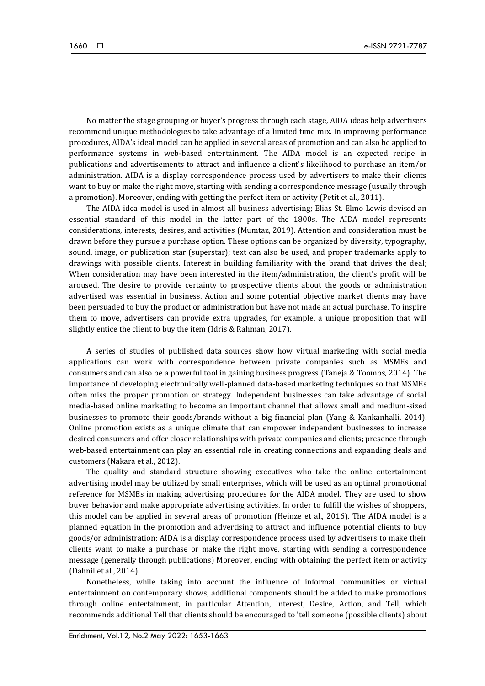No matter the stage grouping or buyer's progress through each stage, AIDA ideas help advertisers recommend unique methodologies to take advantage of a limited time mix. In improving performance procedures, AIDA's ideal model can be applied in several areas of promotion and can also be applied to performance systems in web-based entertainment. The AIDA model is an expected recipe in publications and advertisements to attract and influence a client's likelihood to purchase an item/or administration. AIDA is a display correspondence process used by advertisers to make their clients want to buy or make the right move, starting with sending a correspondence message (usually through a promotion). Moreover, ending with getting the perfect item or activity (Petit et al., 2011).

The AIDA idea model is used in almost all business advertising; Elias St. Elmo Lewis devised an essential standard of this model in the latter part of the 1800s. The AIDA model represents considerations, interests, desires, and activities (Mumtaz, 2019). Attention and consideration must be drawn before they pursue a purchase option. These options can be organized by diversity, typography, sound, image, or publication star (superstar); text can also be used, and proper trademarks apply to drawings with possible clients. Interest in building familiarity with the brand that drives the deal; When consideration may have been interested in the item/administration, the client's profit will be aroused. The desire to provide certainty to prospective clients about the goods or administration advertised was essential in business. Action and some potential objective market clients may have been persuaded to buy the product or administration but have not made an actual purchase. To inspire them to move, advertisers can provide extra upgrades, for example, a unique proposition that will slightly entice the client to buy the item (Idris & Rahman, 2017).

A series of studies of published data sources show how virtual marketing with social media applications can work with correspondence between private companies such as MSMEs and consumers and can also be a powerful tool in gaining business progress (Taneja & Toombs, 2014). The importance of developing electronically well-planned data-based marketing techniques so that MSMEs often miss the proper promotion or strategy. Independent businesses can take advantage of social media-based online marketing to become an important channel that allows small and medium-sized businesses to promote their goods/brands without a big financial plan (Yang & Kankanhalli, 2014). Online promotion exists as a unique climate that can empower independent businesses to increase desired consumers and offer closer relationships with private companies and clients; presence through web-based entertainment can play an essential role in creating connections and expanding deals and customers (Nakara et al., 2012).

The quality and standard structure showing executives who take the online entertainment advertising model may be utilized by small enterprises, which will be used as an optimal promotional reference for MSMEs in making advertising procedures for the AIDA model. They are used to show buyer behavior and make appropriate advertising activities. In order to fulfill the wishes of shoppers, this model can be applied in several areas of promotion (Heinze et al., 2016). The AIDA model is a planned equation in the promotion and advertising to attract and influence potential clients to buy goods/or administration; AIDA is a display correspondence process used by advertisers to make their clients want to make a purchase or make the right move, starting with sending a correspondence message (generally through publications) Moreover, ending with obtaining the perfect item or activity (Dahnil et al., 2014).

Nonetheless, while taking into account the influence of informal communities or virtual entertainment on contemporary shows, additional components should be added to make promotions through online entertainment, in particular Attention, Interest, Desire, Action, and Tell, which recommends additional Tell that clients should be encouraged to 'tell someone (possible clients) about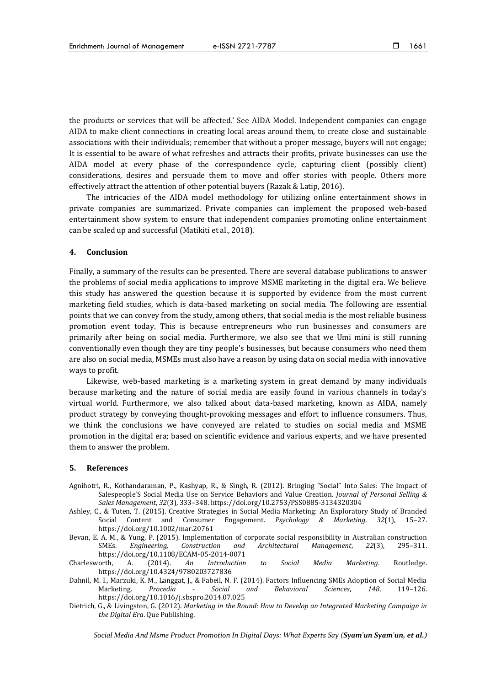the products or services that will be affected.' See AIDA Model. Independent companies can engage AIDA to make client connections in creating local areas around them, to create close and sustainable associations with their individuals; remember that without a proper message, buyers will not engage; It is essential to be aware of what refreshes and attracts their profits, private businesses can use the AIDA model at every phase of the correspondence cycle, capturing client (possibly client) considerations, desires and persuade them to move and offer stories with people. Others more effectively attract the attention of other potential buyers (Razak & Latip, 2016).

The intricacies of the AIDA model methodology for utilizing online entertainment shows in private companies are summarized. Private companies can implement the proposed web-based entertainment show system to ensure that independent companies promoting online entertainment can be scaled up and successful (Matikiti et al., 2018).

#### **4. Conclusion**

Finally, a summary of the results can be presented. There are several database publications to answer the problems of social media applications to improve MSME marketing in the digital era. We believe this study has answered the question because it is supported by evidence from the most current marketing field studies, which is data-based marketing on social media. The following are essential points that we can convey from the study, among others, that social media is the most reliable business promotion event today. This is because entrepreneurs who run businesses and consumers are primarily after being on social media. Furthermore, we also see that we Umi mini is still running conventionally even though they are tiny people's businesses, but because consumers who need them are also on social media, MSMEs must also have a reason by using data on social media with innovative ways to profit.

Likewise, web-based marketing is a marketing system in great demand by many individuals because marketing and the nature of social media are easily found in various channels in today's virtual world. Furthermore, we also talked about data-based marketing, known as AIDA, namely product strategy by conveying thought-provoking messages and effort to influence consumers. Thus, we think the conclusions we have conveyed are related to studies on social media and MSME promotion in the digital era; based on scientific evidence and various experts, and we have presented them to answer the problem.

#### **5. References**

- Agnihotri, R., Kothandaraman, P., Kashyap, R., & Singh, R. (2012). Bringing "Social" Into Sales: The Impact of Salespeople'S Social Media Use on Service Behaviors and Value Creation. *Journal of Personal Selling & Sales Management*, *32*(3), 333–348. https://doi.org/10.2753/PSS0885-3134320304
- Ashley, C., & Tuten, T. (2015). Creative Strategies in Social Media Marketing: An Exploratory Study of Branded Social Content and Consumer Engagement. *Psychology & Marketing*, *32*(1), 15–27. https://doi.org/10.1002/mar.20761
- Bevan, E. A. M., & Yung, P. (2015). Implementation of corporate social responsibility in Australian construction SMEs. *Engineering, Construction and Architectural Management*, *22*(3), 295–311. https://doi.org/10.1108/ECAM-05-2014-0071
- Charlesworth, A. (2014). *An Introduction to Social Media Marketing*. Routledge. https://doi.org/10.4324/9780203727836
- Dahnil, M. I., Marzuki, K. M., Langgat, J., & Fabeil, N. F. (2014). Factors Influencing SMEs Adoption of Social Media Marketing. *Procedia - Social and Behavioral Sciences*, *148*, 119–126. https://doi.org/10.1016/j.sbspro.2014.07.025
- Dietrich, G., & Livingston, G. (2012). *Marketing in the Round: How to Develop an Integrated Marketing Campaign in the Digital Era*. Que Publishing.

*Social Media And Msme Product Promotion In Digital Days: What Experts Say (Syam'un Syam'un, et al.)*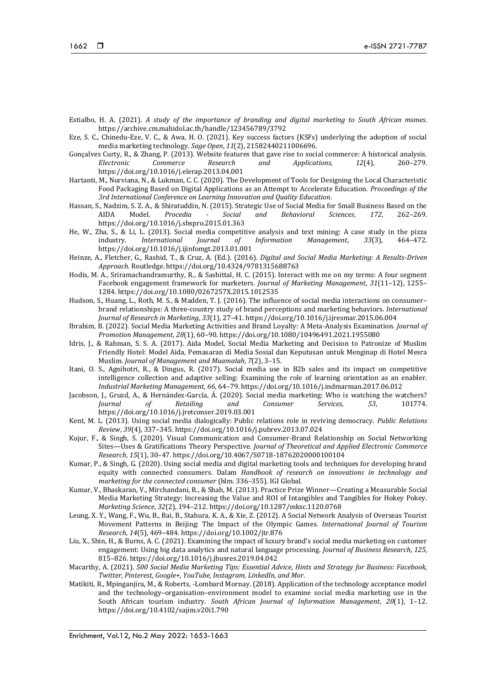- Estialbo, H. A. (2021). *A study of the importance of branding and digital marketing to South African msmes.* https://archive.cm.mahidol.ac.th/handle/123456789/3792
- Eze, S. C., Chinedu-Eze, V. C., & Awa, H. O. (2021). Key success factors (KSFs) underlying the adoption of social media marketing technology. *Sage Open*, *11*(2), 21582440211006696.
- Gonçalves Curty, R., & Zhang, P. (2013). Website features that gave rise to social commerce: A historical analysis. *Electronic Commerce Research and Applications*, *12*(4), 260–279. https://doi.org/10.1016/j.elerap.2013.04.001
- Hartanti, M., Nurviana, N., & Lukman, C. C. (2020). The Development of Tools for Designing the Local Characteristic Food Packaging Based on Digital Applications as an Attempt to Accelerate Education. *Proceedings of the 3rd International Conference on Learning Innovation and Quality Education*.
- Hassan, S., Nadzim, S. Z. A., & Shiratuddin, N. (2015). Strategic Use of Social Media for Small Business Based on the AIDA Model. *Procedia - Social and Behavioral Sciences*, *172*, 262–269. https://doi.org/10.1016/j.sbspro.2015.01.363
- He, W., Zha, S., & Li, L. (2013). Social media competitive analysis and text mining: A case study in the pizza industry. *International Journal of Information Management*, *33*(3), 464–472. https://doi.org/10.1016/j.ijinfomgt.2013.01.001
- Heinze, A., Fletcher, G., Rashid, T., & Cruz, A. (Ed.). (2016). *Digital and Social Media Marketing: A Results-Driven Approach*. Routledge. https://doi.org/10.4324/9781315688763
- Hodis, M. A., Sriramachandramurthy, R., & Sashittal, H. C. (2015). Interact with me on my terms: A four segment Facebook engagement framework for marketers. *Journal of Marketing Management*, *31*(11–12), 1255– 1284. https://doi.org/10.1080/0267257X.2015.1012535
- Hudson, S., Huang, L., Roth, M. S., & Madden, T. J. (2016). The influence of social media interactions on consumer– brand relationships: A three-country study of brand perceptions and marketing behaviors. *International Journal of Research in Marketing*, *33*(1), 27–41. https://doi.org/10.1016/j.ijresmar.2015.06.004
- Ibrahim, B. (2022). Social Media Marketing Activities and Brand Loyalty: A Meta-Analysis Examination. *Journal of Promotion Management*, *28*(1), 60–90. https://doi.org/10.1080/10496491.2021.1955080
- Idris, J., & Rahman, S. S. A. (2017). Aida Model, Social Media Marketing and Decision to Patronize of Muslim Friendly Hotel: Model Aida, Pemasaran di Media Sosial dan Keputusan untuk Menginap di Hotel Mesra Muslim. *Journal of Management and Muamalah*, *7*(2), 3–15.
- Itani, O. S., Agnihotri, R., & Dingus, R. (2017). Social media use in B2b sales and its impact on competitive intelligence collection and adaptive selling: Examining the role of learning orientation as an enabler. *Industrial Marketing Management*, *66*, 64–79. https://doi.org/10.1016/j.indmarman.2017.06.012
- Jacobson, J., Gruzd, A., & Hernández-García, Á. (2020). Social media marketing: Who is watching the watchers? *Journal of Retailing and Consumer Services*, *53*, 101774. https://doi.org/10.1016/j.jretconser.2019.03.001
- Kent, M. L. (2013). Using social media dialogically: Public relations role in reviving democracy. *Public Relations Review*, *39*(4), 337–345. https://doi.org/10.1016/j.pubrev.2013.07.024
- Kujur, F., & Singh, S. (2020). Visual Communication and Consumer-Brand Relationship on Social Networking Sites—Uses & Gratifications Theory Perspective. *Journal of Theoretical and Applied Electronic Commerce Research*, *15*(1), 30–47. https://doi.org/10.4067/S0718-18762020000100104
- Kumar, P., & Singh, G. (2020). Using social media and digital marketing tools and techniques for developing brand equity with connected consumers. Dalam *Handbook of research on innovations in technology and marketing for the connected consumer* (hlm. 336–355). IGI Global.
- Kumar, V., Bhaskaran, V., Mirchandani, R., & Shah, M. (2013). Practice Prize Winner—Creating a Measurable Social Media Marketing Strategy: Increasing the Value and ROI of Intangibles and Tangibles for Hokey Pokey. *Marketing Science*, *32*(2), 194–212. https://doi.org/10.1287/mksc.1120.0768
- Leung, X. Y., Wang, F., Wu, B., Bai, B., Stahura, K. A., & Xie, Z. (2012). A Social Network Analysis of Overseas Tourist Movement Patterns in Beijing: The Impact of the Olympic Games. *International Journal of Tourism Research*, *14*(5), 469–484. https://doi.org/10.1002/jtr.876
- Liu, X., Shin, H., & Burns, A. C. (2021). Examining the impact of luxury brand's social media marketing on customer engagement: Using big data analytics and natural language processing. *Journal of Business Research*, *125*, 815–826. https://doi.org/10.1016/j.jbusres.2019.04.042
- Macarthy, A. (2021). *500 Social Media Marketing Tips: Essential Advice, Hints and Strategy for Business: Facebook, Twitter, Pinterest, Google+, YouTube, Instagram, LinkedIn, and Mor*.
- Matikiti, R., Mpinganjira, M., & Roberts, -Lombard Mornay. (2018). Application of the technology acceptance model and the technology–organisation–environment model to examine social media marketing use in the South African tourism industry. *South African Journal of Information Management*, *20*(1), 1–12. https://doi.org/10.4102/sajim.v20i1.790